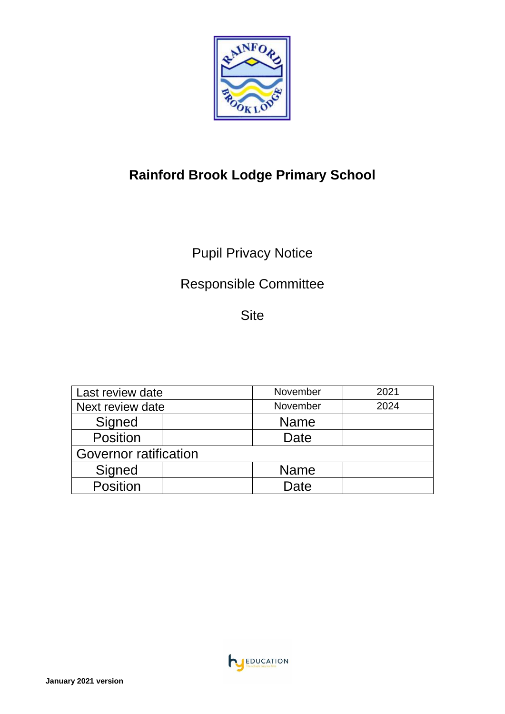

# **Rainford Brook Lodge Primary School**

# Pupil Privacy Notice

# Responsible Committee

Site

| Last review date             |  | November    | 2021 |
|------------------------------|--|-------------|------|
| Next review date             |  | November    | 2024 |
| Signed                       |  | <b>Name</b> |      |
| <b>Position</b>              |  | Date        |      |
| <b>Governor ratification</b> |  |             |      |
| Signed                       |  | <b>Name</b> |      |
| <b>Position</b>              |  | Date        |      |

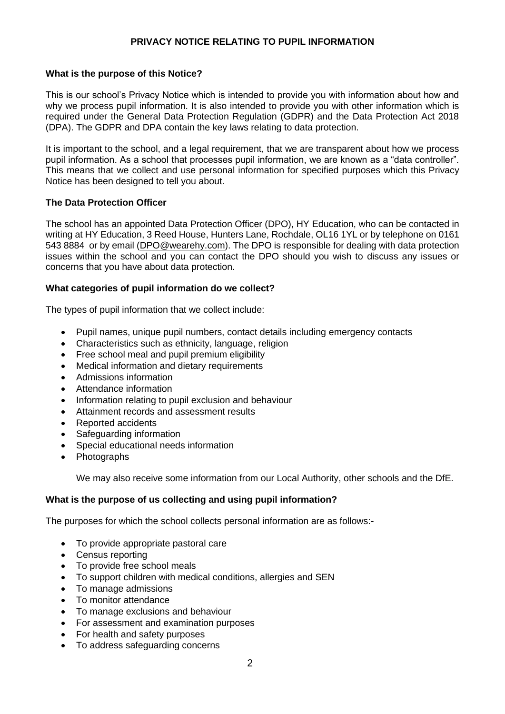## **PRIVACY NOTICE RELATING TO PUPIL INFORMATION**

## **What is the purpose of this Notice?**

This is our school's Privacy Notice which is intended to provide you with information about how and why we process pupil information. It is also intended to provide you with other information which is required under the General Data Protection Regulation (GDPR) and the Data Protection Act 2018 (DPA). The GDPR and DPA contain the key laws relating to data protection.

It is important to the school, and a legal requirement, that we are transparent about how we process pupil information. As a school that processes pupil information, we are known as a "data controller". This means that we collect and use personal information for specified purposes which this Privacy Notice has been designed to tell you about.

#### **The Data Protection Officer**

The school has an appointed Data Protection Officer (DPO), HY Education, who can be contacted in writing at HY Education, 3 Reed House, Hunters Lane, Rochdale, OL16 1YL or by telephone on 0161 543 8884 or by email [\(DPO@wearehy.com\)](mailto:DPO@wearehy.com). The DPO is responsible for dealing with data protection issues within the school and you can contact the DPO should you wish to discuss any issues or concerns that you have about data protection.

#### **What categories of pupil information do we collect?**

The types of pupil information that we collect include:

- Pupil names, unique pupil numbers, contact details including emergency contacts
- Characteristics such as ethnicity, language, religion
- Free school meal and pupil premium eligibility
- Medical information and dietary requirements
- Admissions information
- Attendance information
- Information relating to pupil exclusion and behaviour
- Attainment records and assessment results
- Reported accidents
- Safeguarding information
- Special educational needs information
- Photographs

We may also receive some information from our Local Authority, other schools and the DfE.

#### **What is the purpose of us collecting and using pupil information?**

The purposes for which the school collects personal information are as follows:-

- To provide appropriate pastoral care
- Census reporting
- To provide free school meals
- To support children with medical conditions, allergies and SEN
- To manage admissions
- To monitor attendance
- To manage exclusions and behaviour
- For assessment and examination purposes
- For health and safety purposes
- To address safeguarding concerns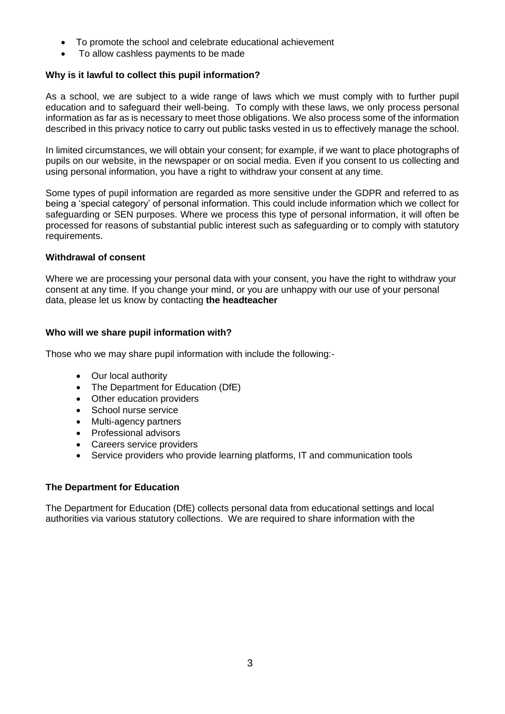- To promote the school and celebrate educational achievement
- To allow cashless payments to be made

## **Why is it lawful to collect this pupil information?**

As a school, we are subject to a wide range of laws which we must comply with to further pupil education and to safeguard their well-being. To comply with these laws, we only process personal information as far as is necessary to meet those obligations. We also process some of the information described in this privacy notice to carry out public tasks vested in us to effectively manage the school.

In limited circumstances, we will obtain your consent; for example, if we want to place photographs of pupils on our website, in the newspaper or on social media. Even if you consent to us collecting and using personal information, you have a right to withdraw your consent at any time.

Some types of pupil information are regarded as more sensitive under the GDPR and referred to as being a 'special category' of personal information. This could include information which we collect for safeguarding or SEN purposes. Where we process this type of personal information, it will often be processed for reasons of substantial public interest such as safeguarding or to comply with statutory requirements.

#### **Withdrawal of consent**

Where we are processing your personal data with your consent, you have the right to withdraw your consent at any time. If you change your mind, or you are unhappy with our use of your personal data, please let us know by contacting **the headteacher**

## **Who will we share pupil information with?**

Those who we may share pupil information with include the following:-

- Our local authority
- The Department for Education (DfE)
- Other education providers
- School nurse service
- Multi-agency partners
- Professional advisors
- Careers service providers
- Service providers who provide learning platforms, IT and communication tools

## **The Department for Education**

The Department for Education (DfE) collects personal data from educational settings and local authorities via various statutory collections. We are required to share information with the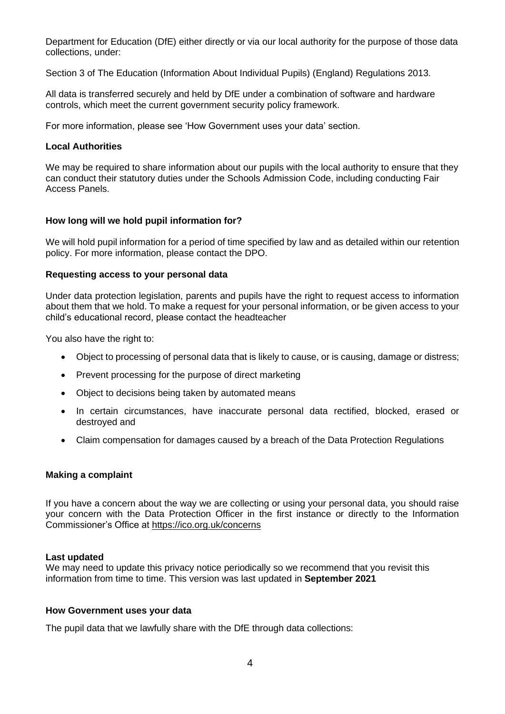Department for Education (DfE) either directly or via our local authority for the purpose of those data collections, under:

Section 3 of The Education (Information About Individual Pupils) (England) Regulations 2013.

All data is transferred securely and held by DfE under a combination of software and hardware controls, which meet the current government security policy framework.

For more information, please see 'How Government uses your data' section.

#### **Local Authorities**

We may be required to share information about our pupils with the local authority to ensure that they can conduct their statutory duties under the Schools Admission Code, including conducting Fair Access Panels.

#### **How long will we hold pupil information for?**

We will hold pupil information for a period of time specified by law and as detailed within our retention policy. For more information, please contact the DPO.

#### **Requesting access to your personal data**

Under data protection legislation, parents and pupils have the right to request access to information about them that we hold. To make a request for your personal information, or be given access to your child's educational record, please contact the headteacher

You also have the right to:

- Object to processing of personal data that is likely to cause, or is causing, damage or distress;
- Prevent processing for the purpose of direct marketing
- Object to decisions being taken by automated means
- In certain circumstances, have inaccurate personal data rectified, blocked, erased or destroyed and
- Claim compensation for damages caused by a breach of the Data Protection Regulations

#### **Making a complaint**

If you have a concern about the way we are collecting or using your personal data, you should raise your concern with the Data Protection Officer in the first instance or directly to the Information Commissioner's Office at<https://ico.org.uk/concerns>

#### **Last updated**

We may need to update this privacy notice periodically so we recommend that you revisit this information from time to time. This version was last updated in **September 2021**

#### **How Government uses your data**

The pupil data that we lawfully share with the DfE through data collections: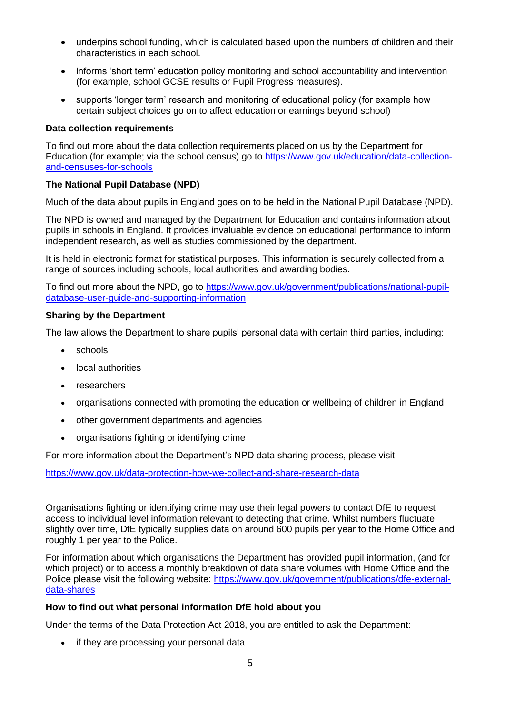- underpins school funding, which is calculated based upon the numbers of children and their characteristics in each school.
- informs 'short term' education policy monitoring and school accountability and intervention (for example, school GCSE results or Pupil Progress measures).
- supports 'longer term' research and monitoring of educational policy (for example how certain subject choices go on to affect education or earnings beyond school)

## **Data collection requirements**

To find out more about the data collection requirements placed on us by the Department for Education (for example; via the school census) go to [https://www.gov.uk/education/data-collection](https://www.gov.uk/education/data-collection-and-censuses-for-schools)[and-censuses-for-schools](https://www.gov.uk/education/data-collection-and-censuses-for-schools)

# **The National Pupil Database (NPD)**

Much of the data about pupils in England goes on to be held in the National Pupil Database (NPD).

The NPD is owned and managed by the Department for Education and contains information about pupils in schools in England. It provides invaluable evidence on educational performance to inform independent research, as well as studies commissioned by the department.

It is held in electronic format for statistical purposes. This information is securely collected from a range of sources including schools, local authorities and awarding bodies.

To find out more about the NPD, go to [https://www.gov.uk/government/publications/national-pupil](https://www.gov.uk/government/publications/national-pupil-database-user-guide-and-supporting-information)[database-user-guide-and-supporting-information](https://www.gov.uk/government/publications/national-pupil-database-user-guide-and-supporting-information)

## **Sharing by the Department**

The law allows the Department to share pupils' personal data with certain third parties, including:

- schools
- local authorities
- researchers
- organisations connected with promoting the education or wellbeing of children in England
- other government departments and agencies
- organisations fighting or identifying crime

For more information about the Department's NPD data sharing process, please visit:

<https://www.gov.uk/data-protection-how-we-collect-and-share-research-data>

Organisations fighting or identifying crime may use their legal powers to contact DfE to request access to individual level information relevant to detecting that crime. Whilst numbers fluctuate slightly over time, DfE typically supplies data on around 600 pupils per year to the Home Office and roughly 1 per year to the Police.

For information about which organisations the Department has provided pupil information, (and for which project) or to access a monthly breakdown of data share volumes with Home Office and the Police please visit the following website: [https://www.gov.uk/government/publications/dfe-external](https://www.gov.uk/government/publications/dfe-external-data-shares)[data-shares](https://www.gov.uk/government/publications/dfe-external-data-shares)

## **How to find out what personal information DfE hold about you**

Under the terms of the Data Protection Act 2018, you are entitled to ask the Department:

• if they are processing your personal data